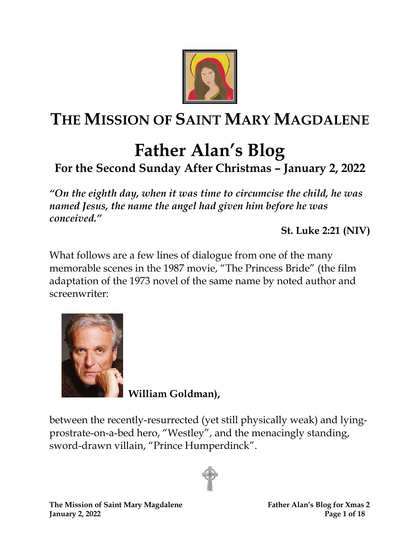

## **THE MISSION OF SAINT MARY MAGDALENE**

### **Father Alan's Blog For the Second Sunday After Christmas – January 2, 2022**

*"On the eighth day, when it was time to circumcise the child, he was named Jesus, the name the angel had given him before he was conceived."*

**St. Luke 2:21 (NIV)**

What follows are a few lines of dialogue from one of the many memorable scenes in the 1987 movie, "The Princess Bride" (the film adaptation of the 1973 novel of the same name by noted author and screenwriter:



 **William Goldman),**

between the recently-resurrected (yet still physically weak) and lyingprostrate-on-a-bed hero, "Westley", and the menacingly standing, sword-drawn villain, "Prince Humperdinck".

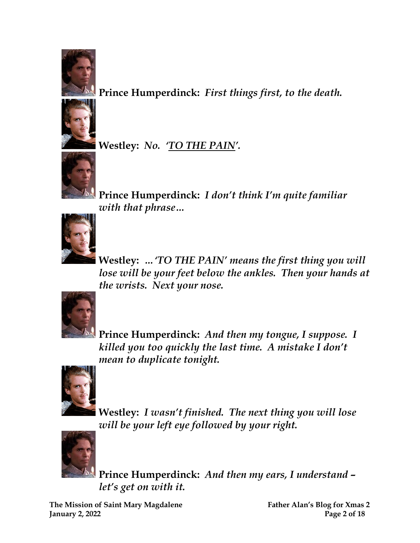

**Prince Humperdinck:** *First things first, to the death.*



**Westley:** *No. 'TO THE PAIN'.*



**Prince Humperdinck:** *I don't think I'm quite familiar with that phrase…*



**Westley:** *…'TO THE PAIN' means the first thing you will lose will be your feet below the ankles. Then your hands at the wrists. Next your nose.*



**Prince Humperdinck:** *And then my tongue, I suppose. I killed you too quickly the last time. A mistake I don't mean to duplicate tonight.*



**Westley:** *I wasn't finished. The next thing you will lose will be your left eye followed by your right.*



**Prince Humperdinck:** *And then my ears, I understand – let's get on with it.*

**The Mission of Saint Mary Magdalene Father Alan's Blog for Xmas 2 January 2, 2022 Page 2 of 18**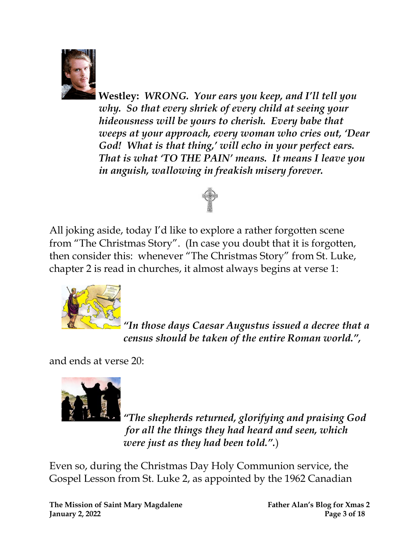

**Westley:** *WRONG. Your ears you keep, and I'll tell you why. So that every shriek of every child at seeing your hideousness will be yours to cherish. Every babe that weeps at your approach, every woman who cries out, 'Dear God! What is that thing,' will echo in your perfect ears. That is what 'TO THE PAIN' means. It means I leave you in anguish, wallowing in freakish misery forever.*



All joking aside, today I'd like to explore a rather forgotten scene from "The Christmas Story". (In case you doubt that it is forgotten, then consider this: whenever "The Christmas Story" from St. Luke, chapter 2 is read in churches, it almost always begins at verse 1:



*"In those days Caesar Augustus issued a decree that a census should be taken of the entire Roman world." ,*

and ends at verse 20:



*"The shepherds returned, glorifying and praising God for all the things they had heard and seen, which were just as they had been told.".*)

Even so, during the Christmas Day Holy Communion service, the Gospel Lesson from St. Luke 2, as appointed by the 1962 Canadian

**The Mission of Saint Mary Magdalene Father Alan's Blog for Xmas 2 January 2, 2022 Page 3 of 18**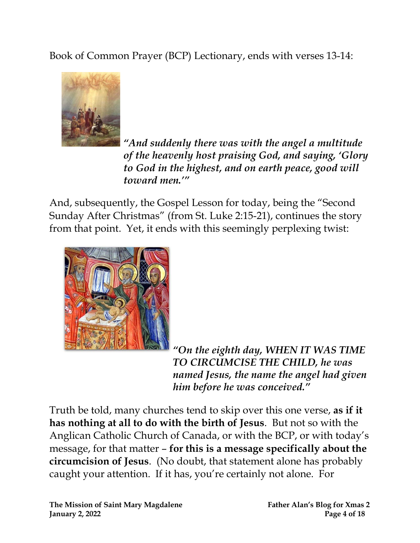Book of Common Prayer (BCP) Lectionary, ends with verses 13-14:



*"And suddenly there was with the angel a multitude of the heavenly host praising God, and saying, 'Glory to God in the highest, and on earth peace, good will toward men.'"*

And, subsequently, the Gospel Lesson for today, being the "Second Sunday After Christmas" (from St. Luke 2:15-21), continues the story from that point. Yet, it ends with this seemingly perplexing twist:



*"On the eighth day, WHEN IT WAS TIME TO CIRCUMCISE THE CHILD, he was named Jesus, the name the angel had given him before he was conceived."*

Truth be told, many churches tend to skip over this one verse, **as if it has nothing at all to do with the birth of Jesus**. But not so with the Anglican Catholic Church of Canada, or with the BCP, or with today's message, for that matter – **for this is a message specifically about the circumcision of Jesus**. (No doubt, that statement alone has probably caught your attention. If it has, you're certainly not alone. For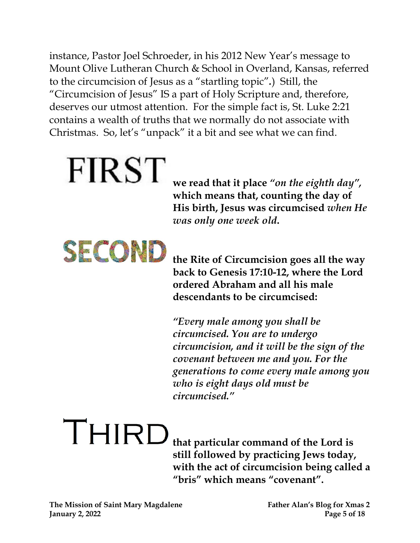instance, Pastor Joel Schroeder, in his 2012 New Year's message to Mount Olive Lutheran Church & School in Overland, Kansas, referred to the circumcision of Jesus as a "startling topic"*.*) Still, the "Circumcision of Jesus" IS a part of Holy Scripture and, therefore, deserves our utmost attention. For the simple fact is, St. Luke 2:21 contains a wealth of truths that we normally do not associate with Christmas. So, let's "unpack" it a bit and see what we can find.

## **FIRST**

**we read that it place** *"on the eighth day" ,*  **which means that, counting the day of His birth, Jesus was circumcised** *when He was only one week old***.**



**the Rite of Circumcision goes all the way back to Genesis 17:10-12, where the Lord ordered Abraham and all his male descendants to be circumcised:**

*"Every male among you shall be circumcised. You are to undergo circumcision, and it will be the sign of the covenant between me and you. For the generations to come every male among you who is eight days old must be circumcised."* 

THIRD **that particular command of the Lord is still followed by practicing Jews today, with the act of circumcision being called a "bris" which means "covenant".**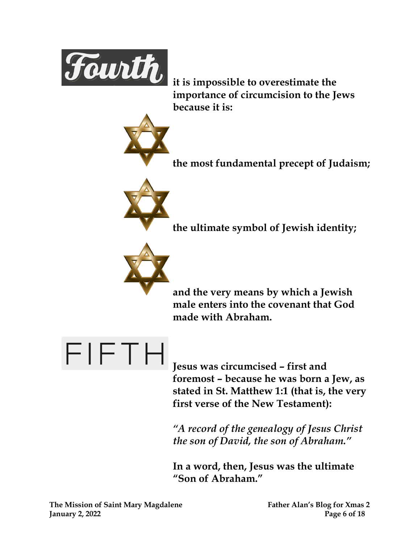

**it is impossible to overestimate the importance of circumcision to the Jews because it is:**



**the most fundamental precept of Judaism;**



**the ultimate symbol of Jewish identity;**



**and the very means by which a Jewish male enters into the covenant that God made with Abraham.**



**Jesus was circumcised – first and foremost – because he was born a Jew, as stated in St. Matthew 1:1 (that is, the very first verse of the New Testament):**

*"A record of the genealogy of Jesus Christ the son of David, the son of Abraham."* 

**In a word, then, Jesus was the ultimate "Son of Abraham."**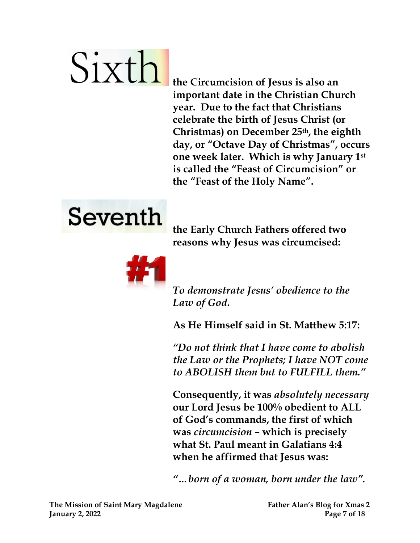# Sixth

**the Circumcision of Jesus is also an important date in the Christian Church year. Due to the fact that Christians celebrate the birth of Jesus Christ (or Christmas) on December 25th , the eighth day, or "Octave Day of Christmas" , occurs one week later. Which is why January 1st is called the "Feast of Circumcision" or the "Feast of the Holy Name".**



**the Early Church Fathers offered two reasons why Jesus was circumcised:**



*To demonstrate Jesus' obedience to the Law of God***.**

**As He Himself said in St. Matthew 5:17:**

*"Do not think that I have come to abolish the Law or the Prophets; I have NOT come to ABOLISH them but to FULFILL them."* 

**Consequently, it was** *absolutely necessary* **our Lord Jesus be 100% obedient to ALL of God's commands, the first of which was** *circumcision* **– which is precisely what St. Paul meant in Galatians 4:4 when he affirmed that Jesus was:**

*"…born of a woman, born under the law".*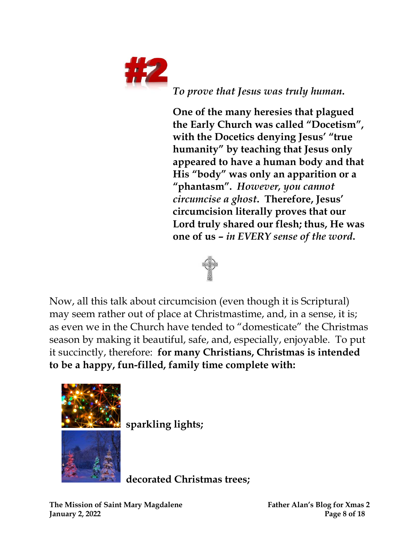

*To prove that Jesus was truly human***.**

**One of the many heresies that plagued the Early Church was called "Docetism" , with the Docetics denying Jesus' "true humanity" by teaching that Jesus only appeared to have a human body and that His "body" was only an apparition or a "phantasm".** *However, you cannot circumcise a ghost***. Therefore, Jesus' circumcision literally proves that our Lord truly shared our flesh; thus, He was one of us –** *in EVERY sense of the word***.**



Now, all this talk about circumcision (even though it is Scriptural) may seem rather out of place at Christmastime, and, in a sense, it is; as even we in the Church have tended to "domesticate" the Christmas season by making it beautiful, safe, and, especially, enjoyable. To put it succinctly, therefore: **for many Christians, Christmas is intended to be a happy, fun-filled, family time complete with:**



**sparkling lights;**

**decorated Christmas trees;**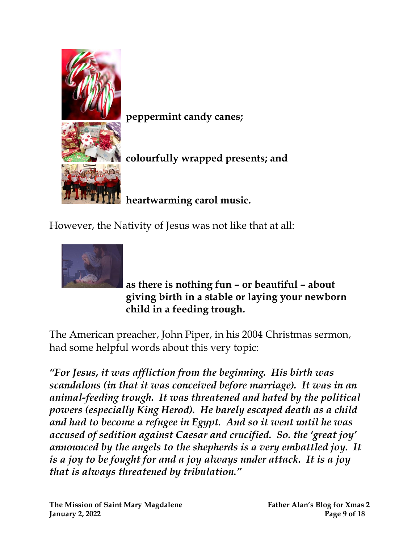

**peppermint candy canes;**

**colourfully wrapped presents; and**

**heartwarming carol music.** 

However, the Nativity of Jesus was not like that at all:



**as there is nothing fun – or beautiful – about giving birth in a stable or laying your newborn child in a feeding trough.**

The American preacher, John Piper, in his 2004 Christmas sermon, had some helpful words about this very topic:

*"For Jesus, it was affliction from the beginning. His birth was scandalous (in that it was conceived before marriage). It was in an animal-feeding trough. It was threatened and hated by the political powers (especially King Herod). He barely escaped death as a child and had to become a refugee in Egypt. And so it went until he was accused of sedition against Caesar and crucified. So. the 'great joy' announced by the angels to the shepherds is a very embattled joy. It is a joy to be fought for and a joy always under attack. It is a joy that is always threatened by tribulation."*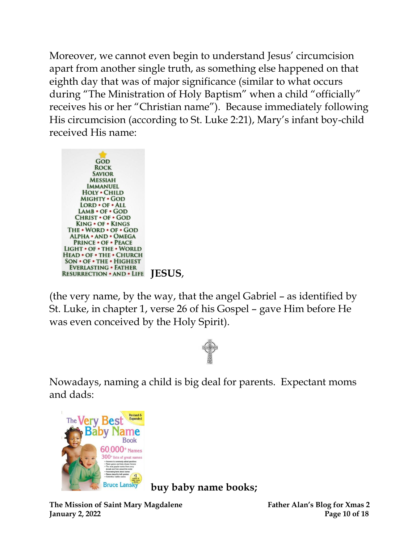Moreover, we cannot even begin to understand Jesus' circumcision apart from another single truth, as something else happened on that eighth day that was of major significance (similar to what occurs during "The Ministration of Holy Baptism" when a child "officially" receives his or her "Christian name"). Because immediately following His circumcision (according to St. Luke 2:21), Mary's infant boy-child received His name:



(the very name, by the way, that the angel Gabriel – as identified by St. Luke, in chapter 1, verse 26 of his Gospel – gave Him before He was even conceived by the Holy Spirit).



Nowadays, naming a child is big deal for parents. Expectant moms and dads:



**buy baby name books;**

**The Mission of Saint Mary Magdalene Father Alan's Blog for Xmas 2 January 2, 2022 Page 10 of 18**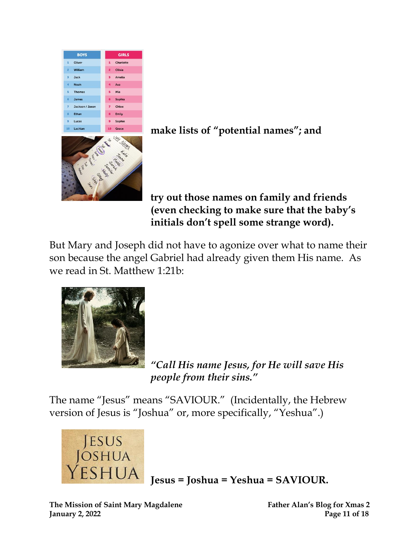





#### **try out those names on family and friends (even checking to make sure that the baby's initials don't spell some strange word).**

But Mary and Joseph did not have to agonize over what to name their son because the angel Gabriel had already given them His name. As we read in St. Matthew 1:21b:



*"Call His name Jesus, for He will save His people from their sins."* 

The name "Jesus" means "SAVIOUR." (Incidentally, the Hebrew version of Jesus is "Joshua" or, more specifically, "Yeshua".)



**Jesus = Joshua = Yeshua = SAVIOUR.**

**The Mission of Saint Mary Magdalene Father Alan's Blog for Xmas 2 January 2, 2022 Page 11 of 18**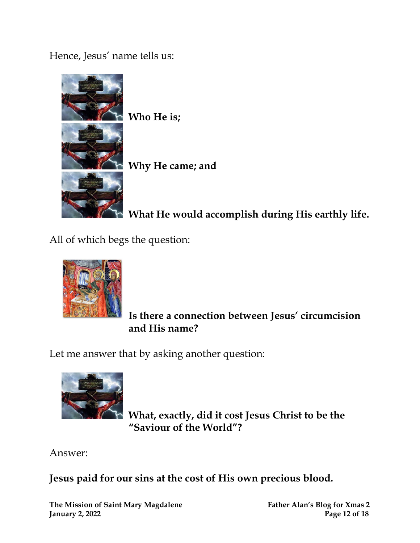Hence, Jesus' name tells us:



 **Who He is;**

 **Why He came; and**

 **What He would accomplish during His earthly life.**

All of which begs the question:



 **Is there a connection between Jesus' circumcision and His name?** 

Let me answer that by asking another question:



 **What, exactly, did it cost Jesus Christ to be the "Saviour of the World"?** 

Answer:

**Jesus paid for our sins at the cost of His own precious blood.**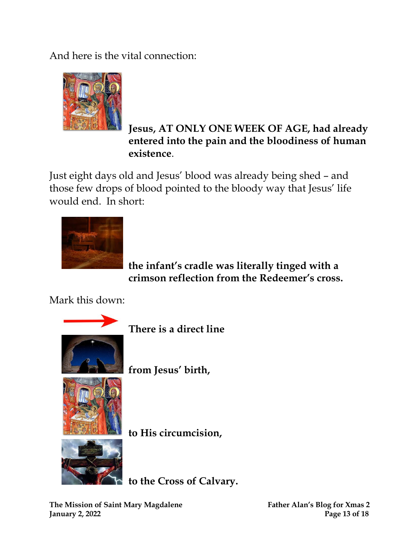And here is the vital connection:



#### **Jesus, AT ONLY ONE WEEK OF AGE, had already entered into the pain and the bloodiness of human existence**.

Just eight days old and Jesus' blood was already being shed – and those few drops of blood pointed to the bloody way that Jesus' life would end. In short:



 **the infant's cradle was literally tinged with a crimson reflection from the Redeemer's cross.**

Mark this down:



 **There is a direct line**

 **from Jesus' birth,**

 **to His circumcision,**



 **to the Cross of Calvary.**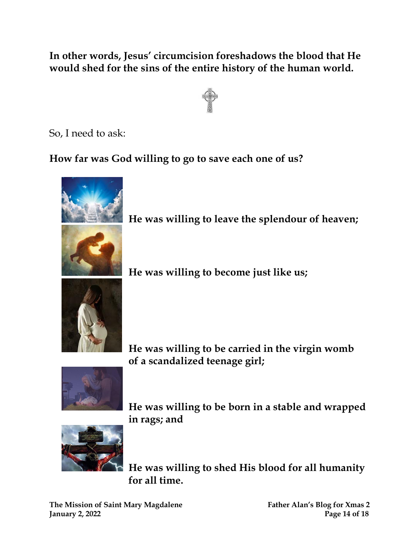**In other words, Jesus' circumcision foreshadows the blood that He would shed for the sins of the entire history of the human world.**



So, I need to ask:

**How far was God willing to go to save each one of us?**



 **He was willing to be carried in the virgin womb**

 **He was willing to become just like us;**

 **of a scandalized teenage girl;**

 **He was willing to leave the splendour of heaven;**



 **He was willing to be born in a stable and wrapped in rags; and**



 **He was willing to shed His blood for all humanity for all time.**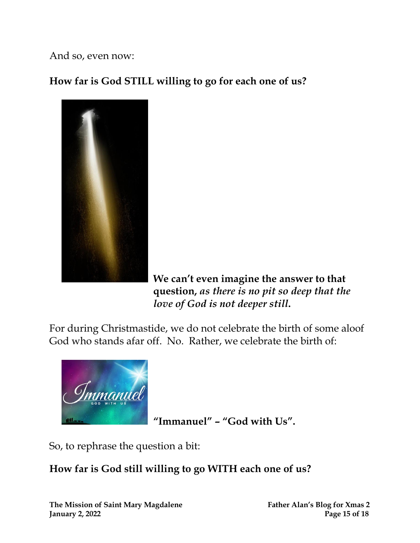And so, even now:

**How far is God STILL willing to go for each one of us?** 



 **We can't even imagine the answer to that question,** *as there is no pit so deep that the*  *love of God is not deeper still***.** 

For during Christmastide, we do not celebrate the birth of some aloof God who stands afar off. No. Rather, we celebrate the birth of:



 **"Immanuel" – "God with Us".**

So, to rephrase the question a bit:

#### **How far is God still willing to go WITH each one of us?**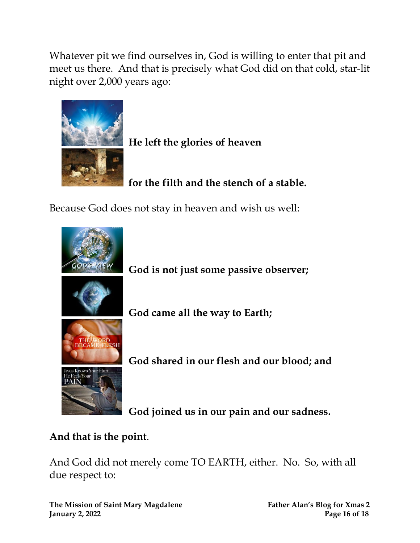Whatever pit we find ourselves in, God is willing to enter that pit and meet us there. And that is precisely what God did on that cold, star-lit night over 2,000 years ago:



 **He left the glories of heaven**

 **for the filth and the stench of a stable.** 

Because God does not stay in heaven and wish us well:



 **God is not just some passive observer;**

 **God came all the way to Earth;**

 **God shared in our flesh and our blood; and**

 **God joined us in our pain and our sadness.**

#### **And that is the point**.

And God did not merely come TO EARTH, either. No. So, with all due respect to:

**The Mission of Saint Mary Magdalene Father Alan's Blog for Xmas 2 January 2, 2022 Page 16 of 18**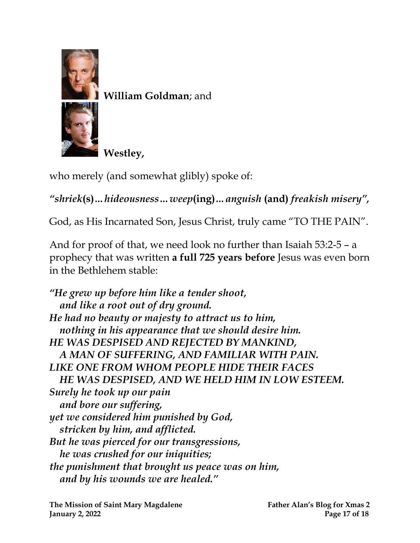

 **William Goldman**; and



 **Westley,**

who merely (and somewhat glibly) spoke of:

*"shriek***(s)***…hideousness…weep***(ing)***…anguish* **(and)** *freakish misery" ,*

God, as His Incarnated Son, Jesus Christ, truly came "TO THE PAIN".

And for proof of that, we need look no further than Isaiah 53:2-5 – a prophecy that was written **a full 725 years before** Jesus was even born in the Bethlehem stable:

*"He grew up before him like a tender shoot, and like a root out of dry ground. He had no beauty or majesty to attract us to him, nothing in his appearance that we should desire him. HE WAS DESPISED AND REJECTED BY MANKIND, A MAN OF SUFFERING, AND FAMILIAR WITH PAIN. LIKE ONE FROM WHOM PEOPLE HIDE THEIR FACES HE WAS DESPISED, AND WE HELD HIM IN LOW ESTEEM. Surely he took up our pain and bore our suffering, yet we considered him punished by God, stricken by him, and afflicted. But he was pierced for our transgressions, he was crushed for our iniquities; the punishment that brought us peace was on him, and by his wounds we are healed."*